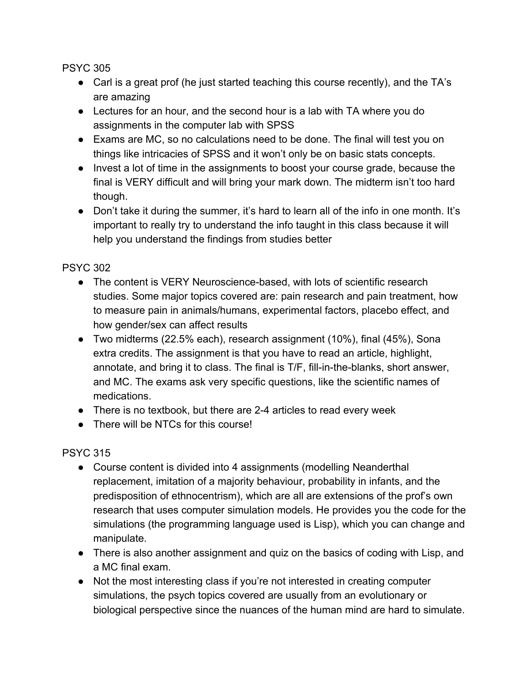- Carl is a great prof (he just started teaching this course recently), and the TA's are amazing
- Lectures for an hour, and the second hour is a lab with TA where you do assignments in the computer lab with SPSS
- Exams are MC, so no calculations need to be done. The final will test you on things like intricacies of SPSS and it won't only be on basic stats concepts.
- Invest a lot of time in the assignments to boost your course grade, because the final is VERY difficult and will bring your mark down. The midterm isn't too hard though.
- Don't take it during the summer, it's hard to learn all of the info in one month. It's important to really try to understand the info taught in this class because it will help you understand the findings from studies better

PSYC 302

- The content is VERY Neuroscience-based, with lots of scientific research studies. Some major topics covered are: pain research and pain treatment, how to measure pain in animals/humans, experimental factors, placebo effect, and how gender/sex can affect results
- Two midterms (22.5% each), research assignment (10%), final (45%), Sona extra credits. The assignment is that you have to read an article, highlight, annotate, and bring it to class. The final is T/F, fill-in-the-blanks, short answer, and MC. The exams ask very specific questions, like the scientific names of medications.
- There is no textbook, but there are 2-4 articles to read every week
- There will be NTCs for this course!

- Course content is divided into 4 assignments (modelling Neanderthal replacement, imitation of a majority behaviour, probability in infants, and the predisposition of ethnocentrism), which are all are extensions of the prof's own research that uses computer simulation models. He provides you the code for the simulations (the programming language used is Lisp), which you can change and manipulate.
- There is also another assignment and quiz on the basics of coding with Lisp, and a MC final exam.
- Not the most interesting class if you're not interested in creating computer simulations, the psych topics covered are usually from an evolutionary or biological perspective since the nuances of the human mind are hard to simulate.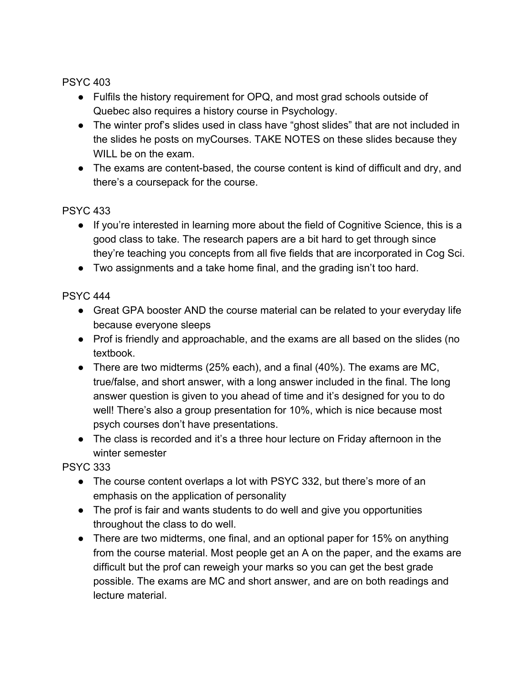- Fulfils the history requirement for OPQ, and most grad schools outside of Quebec also requires a history course in Psychology.
- The winter prof's slides used in class have "ghost slides" that are not included in the slides he posts on myCourses. TAKE NOTES on these slides because they WILL be on the exam.
- The exams are content-based, the course content is kind of difficult and dry, and there's a coursepack for the course.

## PSYC 433

- If you're interested in learning more about the field of Cognitive Science, this is a good class to take. The research papers are a bit hard to get through since they're teaching you concepts from all five fields that are incorporated in Cog Sci.
- Two assignments and a take home final, and the grading isn't too hard.

## PSYC 444

- Great GPA booster AND the course material can be related to your everyday life because everyone sleeps
- Prof is friendly and approachable, and the exams are all based on the slides (no textbook.
- There are two midterms (25% each), and a final (40%). The exams are MC, true/false, and short answer, with a long answer included in the final. The long answer question is given to you ahead of time and it's designed for you to do well! There's also a group presentation for 10%, which is nice because most psych courses don't have presentations.
- The class is recorded and it's a three hour lecture on Friday afternoon in the winter semester

- The course content overlaps a lot with PSYC 332, but there's more of an emphasis on the application of personality
- The prof is fair and wants students to do well and give you opportunities throughout the class to do well.
- There are two midterms, one final, and an optional paper for 15% on anything from the course material. Most people get an A on the paper, and the exams are difficult but the prof can reweigh your marks so you can get the best grade possible. The exams are MC and short answer, and are on both readings and lecture material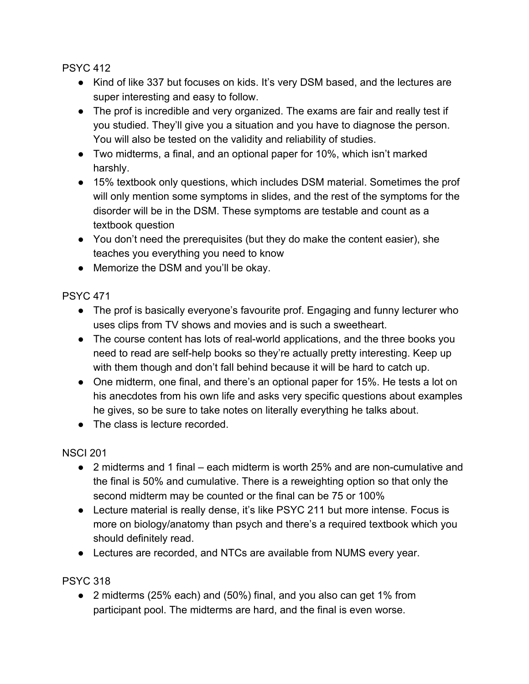- Kind of like 337 but focuses on kids. It's very DSM based, and the lectures are super interesting and easy to follow.
- The prof is incredible and very organized. The exams are fair and really test if you studied. They'll give you a situation and you have to diagnose the person. You will also be tested on the validity and reliability of studies.
- Two midterms, a final, and an optional paper for 10%, which isn't marked harshly.
- 15% textbook only questions, which includes DSM material. Sometimes the prof will only mention some symptoms in slides, and the rest of the symptoms for the disorder will be in the DSM. These symptoms are testable and count as a textbook question
- You don't need the prerequisites (but they do make the content easier), she teaches you everything you need to know
- Memorize the DSM and you'll be okay.

PSYC 471

- The prof is basically everyone's favourite prof. Engaging and funny lecturer who uses clips from TV shows and movies and is such a sweetheart.
- The course content has lots of real-world applications, and the three books you need to read are self-help books so they're actually pretty interesting. Keep up with them though and don't fall behind because it will be hard to catch up.
- One midterm, one final, and there's an optional paper for 15%. He tests a lot on his anecdotes from his own life and asks very specific questions about examples he gives, so be sure to take notes on literally everything he talks about.
- The class is lecture recorded.

NSCI 201

- 2 midterms and 1 final each midterm is worth 25% and are non-cumulative and the final is 50% and cumulative. There is a reweighting option so that only the second midterm may be counted or the final can be 75 or 100%
- Lecture material is really dense, it's like PSYC 211 but more intense. Focus is more on biology/anatomy than psych and there's a required textbook which you should definitely read.
- Lectures are recorded, and NTCs are available from NUMS every year.

PSYC 318

● 2 midterms (25% each) and (50%) final, and you also can get 1% from participant pool. The midterms are hard, and the final is even worse.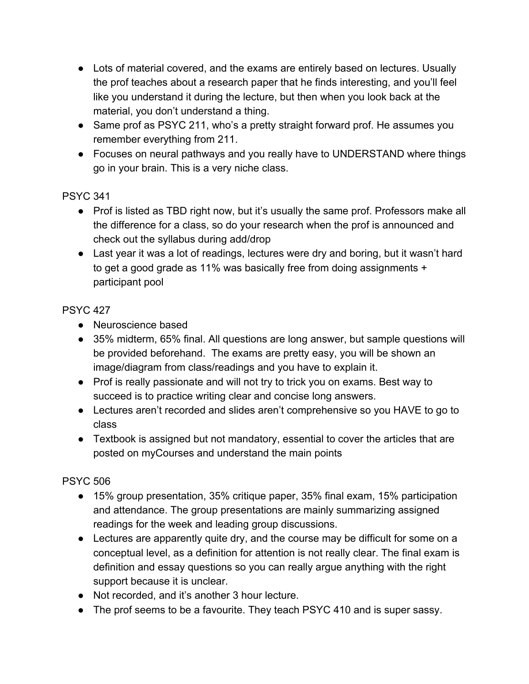- Lots of material covered, and the exams are entirely based on lectures. Usually the prof teaches about a research paper that he finds interesting, and you'll feel like you understand it during the lecture, but then when you look back at the material, you don't understand a thing.
- Same prof as PSYC 211, who's a pretty straight forward prof. He assumes you remember everything from 211.
- Focuses on neural pathways and you really have to UNDERSTAND where things go in your brain. This is a very niche class.

- Prof is listed as TBD right now, but it's usually the same prof. Professors make all the difference for a class, so do your research when the prof is announced and check out the syllabus during add/drop
- Last year it was a lot of readings, lectures were dry and boring, but it wasn't hard to get a good grade as 11% was basically free from doing assignments + participant pool

## PSYC 427

- Neuroscience based
- 35% midterm, 65% final. All questions are long answer, but sample questions will be provided beforehand. The exams are pretty easy, you will be shown an image/diagram from class/readings and you have to explain it.
- Prof is really passionate and will not try to trick you on exams. Best way to succeed is to practice writing clear and concise long answers.
- Lectures aren't recorded and slides aren't comprehensive so you HAVE to go to class
- Textbook is assigned but not mandatory, essential to cover the articles that are posted on myCourses and understand the main points

- 15% group presentation, 35% critique paper, 35% final exam, 15% participation and attendance. The group presentations are mainly summarizing assigned readings for the week and leading group discussions.
- Lectures are apparently quite dry, and the course may be difficult for some on a conceptual level, as a definition for attention is not really clear. The final exam is definition and essay questions so you can really argue anything with the right support because it is unclear.
- Not recorded, and it's another 3 hour lecture.
- The prof seems to be a favourite. They teach PSYC 410 and is super sassy.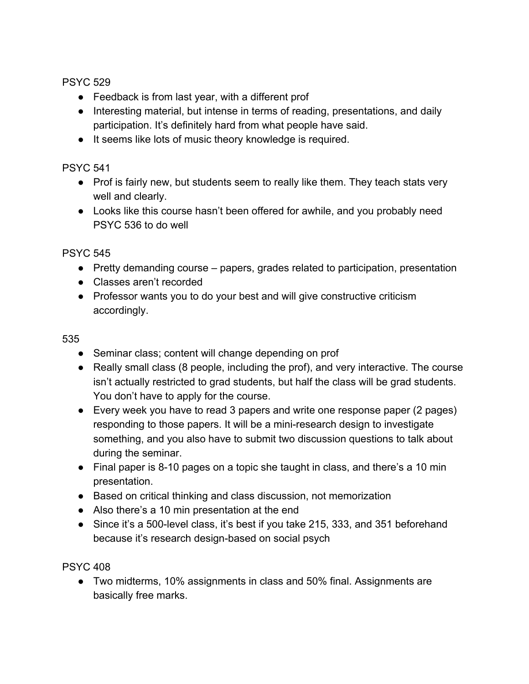- Feedback is from last year, with a different prof
- Interesting material, but intense in terms of reading, presentations, and daily participation. It's definitely hard from what people have said.
- It seems like lots of music theory knowledge is required.

PSYC 541

- Prof is fairly new, but students seem to really like them. They teach stats very well and clearly.
- Looks like this course hasn't been offered for awhile, and you probably need PSYC 536 to do well

PSYC 545

- Pretty demanding course papers, grades related to participation, presentation
- Classes aren't recorded
- Professor wants you to do your best and will give constructive criticism accordingly.

535

- Seminar class; content will change depending on prof
- Really small class (8 people, including the prof), and very interactive. The course isn't actually restricted to grad students, but half the class will be grad students. You don't have to apply for the course.
- Every week you have to read 3 papers and write one response paper (2 pages) responding to those papers. It will be a mini-research design to investigate something, and you also have to submit two discussion questions to talk about during the seminar.
- Final paper is 8-10 pages on a topic she taught in class, and there's a 10 min presentation.
- Based on critical thinking and class discussion, not memorization
- Also there's a 10 min presentation at the end
- Since it's a 500-level class, it's best if you take 215, 333, and 351 beforehand because it's research design-based on social psych

PSYC 408

● Two midterms, 10% assignments in class and 50% final. Assignments are basically free marks.